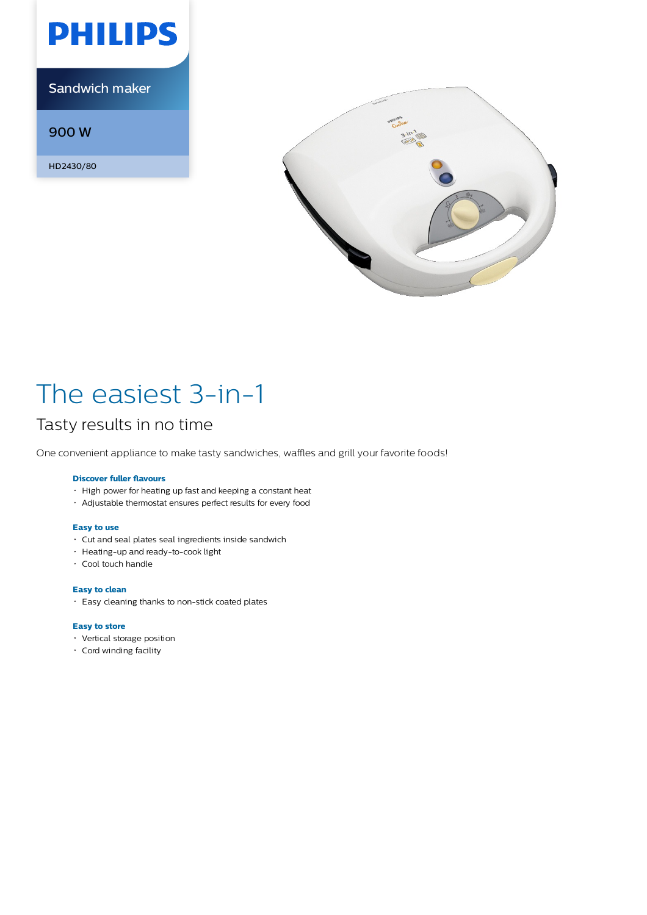

Sandwich maker

900 W

HD2430/80



# The easiest 3-in-1

## Tasty results in no time

One convenient appliance to make tasty sandwiches, waffles and grill your favorite foods!

### **Discover fuller flavours**

- High power for heating up fast and keeping a constant heat
- Adjustable thermostat ensures perfect results for every food

### **Easy to use**

- Cut and seal plates seal ingredients inside sandwich
- Heating-up and ready-to-cook light
- Cool touch handle

### **Easy to clean**

Easy cleaning thanks to non-stick coated plates

### **Easy to store**

- Vertical storage position
- Cord winding facility